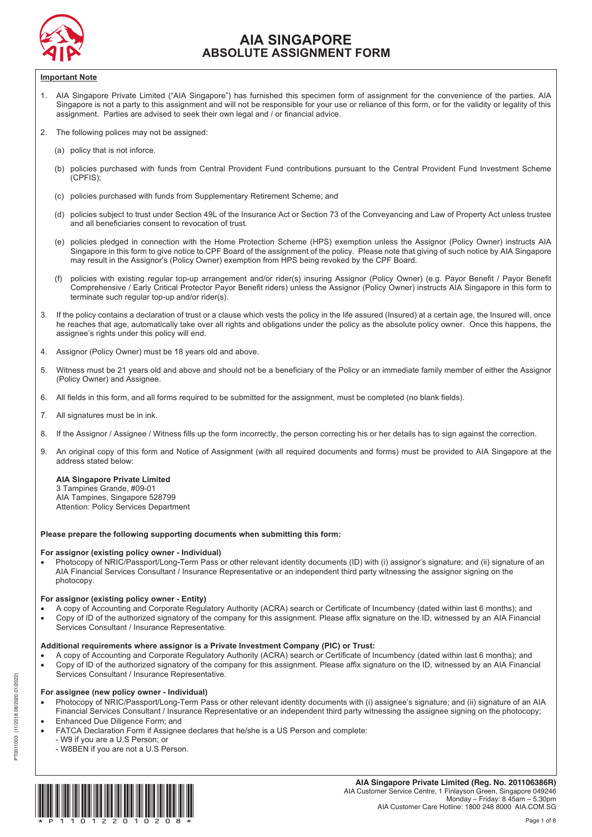

# **AIA SINGAPORE ABSOLUTE ASSIGNMENT FORM**

#### **Important Note**

- 1. AIA Singapore Private Limited ("AIA Singapore") has furnished this specimen form of assignment for the convenience of the parties. AIA Singapore is not a party to this assignment and will not be responsible for your use or reliance of this form, or for the validity or legality of this assignment. Parties are advised to seek their own legal and / or financial advice.  $S$  assignment and will not be responsible for  $S$  reliance of this form, or form, or form, or  $S$ 
	- 2. The following polices may not be assigned:
- (a) policy that is not inforce.
	- (b) policies purchased with funds from Central Provident Fund contributions pursuant to the Central Provident Fund Investment Scheme (CPFIS);  $\mathcal{L}_{\mathcal{D}}$  policies pure  $\mathcal{D}_{\mathcal{D}}$ 
		- (c) policies purchased with funds from Supplementary Retirement Scheme; and
	- (d) policies subject to trust under Section 49L of the Insurance Act or Section 73 of the Conveyancing and Law of Property Act unless trustee and all beneficiaries consent to revocation of trust.
	- (e) policies pledged in connection with the Home Protection Scheme (HPS) exemption unless the Assignor (Policy Owner) instructs AIA Singapore in this form to give notice to CPF Board of the assignment of the policy. Please note that giving of such notice by AIA Singapore may result in the Assignor's (Policy Owner) exemption from HPS being revoked by the CPF Board.  $S = \frac{1}{2}$  Board of the assignment of the policy. Please note that giving of the policy. Please note that giving of such note that giving of such notice by AIA Singapore by AIA Singapore by AIA Singapore by AIA Singapore
	- (f) policies with existing regular top-up arrangement and/or rider(s) insuring Assignor (Policy Owner) (e.g. Payor Benefit / Payor Benefit Comprehensive / Early Critical Protector Payor Benefit riders) unless the Assignor (Policy Owner) instructs AIA Singapore in this form to terminate such regular top-up and/or rider(s). The existing of the existing  $\sim$  and  $\sim$  Payor Benefit insurangement and  $\sim$  Payor Benefit  $\sim$  Payor Benefit  $\sim$  Payor Benefit  $\sim$  Payor Benefit  $\sim$  Payor Benefit  $\sim$   $C^{\text{c}}$  Protector Payor Benefit riders) unless the Assignor (Policy Owner) instructs AIA Singapore in this form to  $P$
- 3. If the policy contains a declaration of trust or a clause which vests the policy in the life assured (Insured) at a certain age, the Insured will, once he reaches that age, automatically take over all rights and obligations under the policy as the absolute policy owner. Once this happens, the assignee's rights under this policy will end. If the policy is a clause which vests the policy in the Insured W he reaches that age, automatically take over all rights and obligations under the policy as the absolute policy owner. Once this happens, the
	- 4. Assignor (Policy Owner) must be 18 years old and above.
- | 5. Witness must be 21 years old and above and should not be a beneficiary of the Policy or an immediate family member of either the Assignor (Policy Owner) and Assignee.  $\frac{1}{2}$  years old and above and should not beneficiary of the Policy or an immediate family member of either the Assignor  $\alpha$ 
	- 6. All fields in this form, and all forms required to be submitted for the assignment, must be completed (no blank fields).
- | 7. All signatures must be in ink.
- 8. If the Assignor / Assignee / Witness fills up the form incorrectly, the person correcting his or her details has to sign against the correction.
- 9. An original copy of this form and Notice of Assignment (with all required documents and forms) must be provided to AIA Singapore at the address stated below: 9. An original copy of this form and Notice of Assignment (with all required documents and forms) must be provided to AIA Singapore at the

# **AIA Singapore Private Limited**

3 Tampines Grande, #09-01 AIA Tampines, Singapore 528799 Attention: Policy Services Department AIA Tampines, Singapore 528799

#### **Please prepare the following supporting documents when submitting this form:**

## **Please 1 For assignor (existing policy owner - Individual)**

• Photocopy of NRIC/Passport/Long-Term Pass or other relevant identity documents (ID) with (i) assignor's signature; and (ii) signature of an AIA Financial Services Consultant / Insurance Representative or an independent third party witnessing the assignor signing on the photocopy. export of NRIC/Pass or other Pass or other relevant identity documents (ID) with  $\frac{1}{2}$  and  $\frac{1}{2}$  assignoris signature; and (iii) signature of and (iii) signature of and (iii) signature of and (iii) signature of and AIA Financial Services Consultant  $\mathcal{L}$  independent third party with party witnessing the assignor signing on the assignor signing on the assignor signing on the assignor signing on the assignor signing on the assignor

## **For assignor (existing policy owner - Entity)** photocopy.

- A copy of Accounting and Corporate Regulatory Authority (ACRA) search or Certificate of Incumbency (dated within last 6 months); and
- **For all one of the authorized signatory of the company for this assignment. Please affix signature on the ID, witnessed by an AIA Financial <b>Financial Financial For authorized signatory of the company for this assignm** Services Consultant / Insurance Representative.<br>
Services Consultant / Insurance Representative.  $\mathcal{L}_{\mathcal{A}}$  and company for this assignment. Please affix signature on the ID, with a IA  $\mathcal{A}$  Financial Financial Financial Financial Financial Financial Financial Financial Financial Financial Financial Financial

# Additional requirements where assignor is a Private Investment Company (PIC) or Trust:

• A copy of Accounting and Corporate Regulatory Authority (ACRA) search or Certificate of Incumbency (dated within last 6 months); and . Copy of ID of the authorized signatory of the company for this assignment. Please affix signature on the ID, witnessed by an AIA Financial Services Consultant / Insurance Representative.<br>
Services Consultant / Insurance Representative.

• Copy of ID of the authorized signatory of the company for this assignment. Please affix signature on the ID, witnessed by an AIA Financial

# For assignee (new policy owner - **Individual**)

- Photocopy of NRIC/Passport/Long-Term Pass or other relevant identity documents with (i) assignee's signature; and (ii) signature of an AIA Financial Services Consultant / Insurance Representative or an independent third party witnessing the assignee signing on the photocopy; • Enhanced Due Diligence Form; and  $\bullet$  Photocopy of  $\bullet$  Photocopy of an AIAAIAAIA signature; and  $\bullet$ 
	-
	- Interact the energence consultant in the state or and the photocopy of the assigning or and complete:<br>FATCA Declaration Form if Assignee declares that he/she is a US Person and complete:
- explorated by the Due of the District Politics Person; or
- W8BEN if you are not a U.S Person. - W9 if you are a U.S Person; or

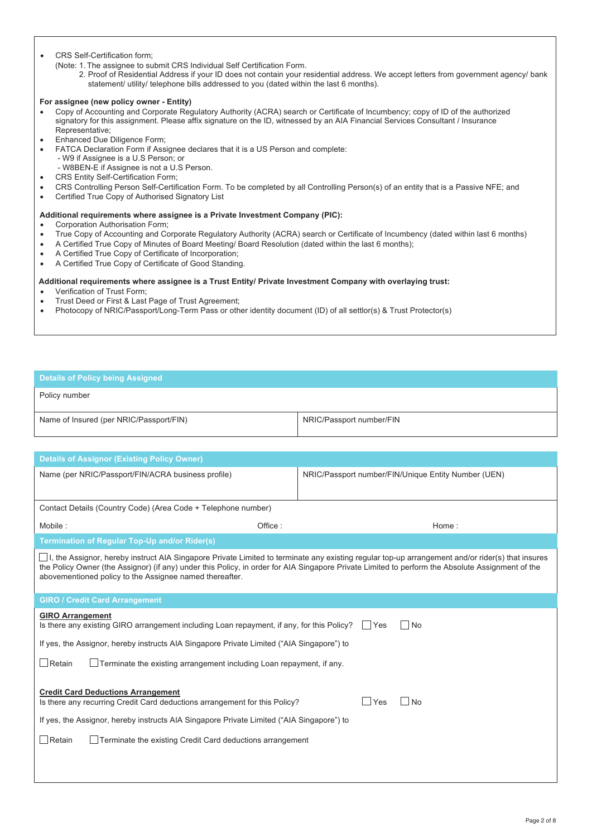### CRS Self-Certification form;

- (Note: 1. The assignee to submit CRS Individual Self Certification Form.
	- 2. Proof of Residential Address if your ID does not contain your residential address. We accept letters from government agency/ bank statement/ utility/ telephone bills addressed to you (dated within the last 6 months).

### **For assignee (new policy owner - Entity)**

- Copy of Accounting and Corporate Regulatory Authority (ACRA) search or Certificate of Incumbency; copy of ID of the authorized signatory for this assignment. Please affix signature on the ID, witnessed by an AIA Financial Services Consultant / Insurance Representative;
- Enhanced Due Diligence Form;
- FATCA Declaration Form if Assignee declares that it is a US Person and complete:
	- W9 if Assignee is a U.S Person; or
	- W8BEN-E if Assignee is not a U.S Person.
- CRS Entity Self-Certification Form;
- CRS Controlling Person Self-Certification Form. To be completed by all Controlling Person(s) of an entity that is a Passive NFE; and
- Certified True Copy of Authorised Signatory List

### **Additional requirements where assignee is a Private Investment Company (PIC):**

- Corporation Authorisation Form;
- True Copy of Accounting and Corporate Regulatory Authority (ACRA) search or Certificate of Incumbency (dated within last 6 months)
- A Certified True Copy of Minutes of Board Meeting/ Board Resolution (dated within the last 6 months);
- A Certified True Copy of Certificate of Incorporation;
- A Certified True Copy of Certificate of Good Standing.

#### **Additional requirements where assignee is a Trust Entity/ Private Investment Company with overlaying trust:**

- Verification of Trust Form;
- Trust Deed or First & Last Page of Trust Agreement;
- Photocopy of NRIC/Passport/Long-Term Pass or other identity document (ID) of all settlor(s) & Trust Protector(s)

| <b>Details of Policy being Assigned</b> |                          |
|-----------------------------------------|--------------------------|
| Policy number                           |                          |
| Name of Insured (per NRIC/Passport/FIN) | NRIC/Passport number/FIN |

| <b>Details of Assignor (Existing Policy Owner)</b>                                                                                                                                                                                                                                                                                                               |                                                     |  |  |  |
|------------------------------------------------------------------------------------------------------------------------------------------------------------------------------------------------------------------------------------------------------------------------------------------------------------------------------------------------------------------|-----------------------------------------------------|--|--|--|
| Name (per NRIC/Passport/FIN/ACRA business profile)                                                                                                                                                                                                                                                                                                               | NRIC/Passport number/FIN/Unique Entity Number (UEN) |  |  |  |
| Contact Details (Country Code) (Area Code + Telephone number)                                                                                                                                                                                                                                                                                                    |                                                     |  |  |  |
| Mobile:<br>Office:                                                                                                                                                                                                                                                                                                                                               | Home:                                               |  |  |  |
| <b>Termination of Reqular Top-Up and/or Rider(s)</b>                                                                                                                                                                                                                                                                                                             |                                                     |  |  |  |
| □I, the Assignor, hereby instruct AIA Singapore Private Limited to terminate any existing regular top-up arrangement and/or rider(s) that insures<br>the Policy Owner (the Assignor) (if any) under this Policy, in order for AIA Singapore Private Limited to perform the Absolute Assignment of the<br>abovementioned policy to the Assignee named thereafter. |                                                     |  |  |  |
| <b>GIRO / Credit Card Arrangement</b>                                                                                                                                                                                                                                                                                                                            |                                                     |  |  |  |
| <b>GIRO Arrangement</b><br>Is there any existing GIRO arrangement including Loan repayment, if any, for this Policy?<br><b>No</b><br>$\mathbf{L}$<br>Yes<br>If yes, the Assignor, hereby instructs AIA Singapore Private Limited ("AIA Singapore") to                                                                                                            |                                                     |  |  |  |
| $\Box$ Retain<br>$\Box$ Terminate the existing arrangement including Loan repayment, if any.                                                                                                                                                                                                                                                                     |                                                     |  |  |  |
| <b>Credit Card Deductions Arrangement</b><br>Is there any recurring Credit Card deductions arrangement for this Policy?<br>If yes, the Assignor, hereby instructs AIA Singapore Private Limited ("AIA Singapore") to<br>Retain<br>Terminate the existing Credit Card deductions arrangement                                                                      | $\Box$ Yes<br>∣No                                   |  |  |  |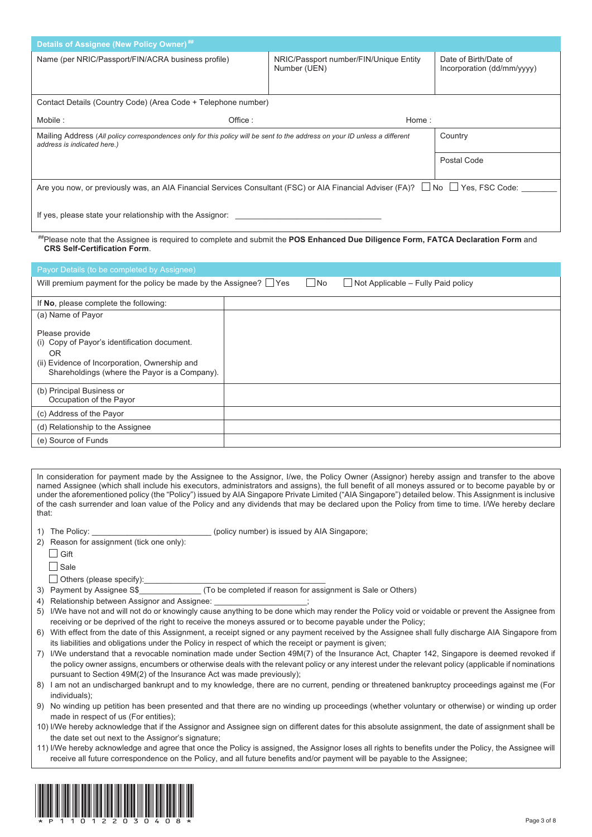| <b>Details of Assignee (New Policy Owner) ##</b>                                                                                                                          |                                                        |                                                     |  |  |
|---------------------------------------------------------------------------------------------------------------------------------------------------------------------------|--------------------------------------------------------|-----------------------------------------------------|--|--|
| Name (per NRIC/Passport/FIN/ACRA business profile)                                                                                                                        | NRIC/Passport number/FIN/Unique Entity<br>Number (UEN) | Date of Birth/Date of<br>Incorporation (dd/mm/yyyy) |  |  |
| Contact Details (Country Code) (Area Code + Telephone number)                                                                                                             |                                                        |                                                     |  |  |
| Office:<br>Mobile:                                                                                                                                                        | Home:                                                  |                                                     |  |  |
| Mailing Address (All policy correspondences only for this policy will be sent to the address on your ID unless a different<br>address is indicated here.)                 |                                                        | Country                                             |  |  |
|                                                                                                                                                                           |                                                        | Postal Code                                         |  |  |
| Are you now, or previously was, an AIA Financial Services Consultant (FSC) or AIA Financial Adviser (FA)? □ No □ Yes, FSC Code:                                           |                                                        |                                                     |  |  |
| If yes, please state your relationship with the Assignor:                                                                                                                 |                                                        |                                                     |  |  |
| ""Please note that the Assignee is required to complete and submit the POS Enhanced Due Diligence Form, FATCA Declaration Form and<br><b>CRS Self-Certification Form.</b> |                                                        |                                                     |  |  |

| Payor Details (to be completed by Assignee)                                                                                                                                   |           |                                    |
|-------------------------------------------------------------------------------------------------------------------------------------------------------------------------------|-----------|------------------------------------|
| Will premium payment for the policy be made by the Assignee? $\Box$ Yes                                                                                                       | $\Box$ No | Not Applicable - Fully Paid policy |
| If No, please complete the following:                                                                                                                                         |           |                                    |
| (a) Name of Payor                                                                                                                                                             |           |                                    |
| Please provide<br>(i) Copy of Payor's identification document.<br><b>OR</b><br>(ii) Evidence of Incorporation, Ownership and<br>Shareholdings (where the Payor is a Company). |           |                                    |
| (b) Principal Business or<br>Occupation of the Payor                                                                                                                          |           |                                    |
| (c) Address of the Payor                                                                                                                                                      |           |                                    |
| (d) Relationship to the Assignee                                                                                                                                              |           |                                    |
| (e) Source of Funds                                                                                                                                                           |           |                                    |

In consideration for payment made by the Assignee to the Assignor, I/we, the Policy Owner (Assignor) hereby assign and transfer to the above named Assignee (which shall include his executors, administrators and assigns), the full benefit of all moneys assured or to become payable by or under the aforementioned policy (the "Policy") issued by AIA Singapore Private Limited ("AIA Singapore") detailed below. This Assignment is inclusive of the cash surrender and loan value of the Policy and any dividends that may be declared upon the Policy from time to time. I/We hereby declare that:

1) The Policy: \_\_\_\_\_\_\_\_\_\_\_\_\_\_\_\_\_\_\_\_\_\_\_\_\_\_\_\_\_\_\_\_(policy number) is issued by AIA Singapore;

|             | 2) Reason for assignment (tick one only): |  |  |
|-------------|-------------------------------------------|--|--|
| $\Box$ Gift |                                           |  |  |

| I<br>- 3<br>۰.<br>M. |  |
|----------------------|--|
|                      |  |
|                      |  |

 $\Box$  Sale

 $\Box$  Others (please specify):

3) Payment by Assignee S\$ (To be completed if reason for assignment is Sale or Others)

- 4) Relationship between Assignor and Assignee:
- 5) I/We have not and will not do or knowingly cause anything to be done which may render the Policy void or voidable or prevent the Assignee from receiving or be deprived of the right to receive the moneys assured or to become payable under the Policy;
- 6) With effect from the date of this Assignment, a receipt signed or any payment received by the Assignee shall fully discharge AIA Singapore from its liabilities and obligations under the Policy in respect of which the receipt or payment is given;

7) I/We understand that a revocable nomination made under Section 49M(7) of the Insurance Act, Chapter 142, Singapore is deemed revoked if the policy owner assigns, encumbers or otherwise deals with the relevant policy or any interest under the relevant policy (applicable if nominations pursuant to Section 49M(2) of the Insurance Act was made previously);

8) I am not an undischarged bankrupt and to my knowledge, there are no current, pending or threatened bankruptcy proceedings against me (For individuals);

9) No winding up petition has been presented and that there are no winding up proceedings (whether voluntary or otherwise) or winding up order made in respect of us (For entities);

- 10) I/We hereby acknowledge that if the Assignor and Assignee sign on different dates for this absolute assignment, the date of assignment shall be the date set out next to the Assignor's signature;
- 11) I/We hereby acknowledge and agree that once the Policy is assigned, the Assignor loses all rights to benefits under the Policy, the Assignee will receive all future correspondence on the Policy, and all future benefits and/or payment will be payable to the Assignee;

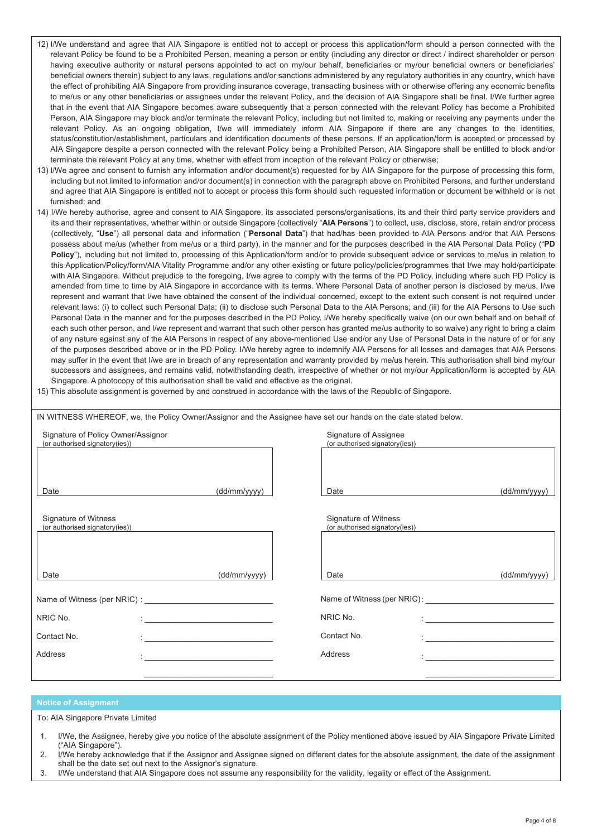- 12) I/We understand and agree that AIA Singapore is entitled not to accept or process this application/form should a person connected with the relevant Policy be found to be a Prohibited Person, meaning a person or entity (including any director or direct / indirect shareholder or person having executive authority or natural persons appointed to act on my/our behalf, beneficiaries or my/our beneficial owners or beneficiaries' beneficial owners therein) subject to any laws, regulations and/or sanctions administered by any regulatory authorities in any country, which have the effect of prohibiting AIA Singapore from providing insurance coverage, transacting business with or otherwise offering any economic benefits to me/us or any other beneficiaries or assignees under the relevant Policy, and the decision of AIA Singapore shall be final. I/We further agree that in the event that AIA Singapore becomes aware subsequently that a person connected with the relevant Policy has become a Prohibited Person, AIA Singapore may block and/or terminate the relevant Policy, including but not limited to, making or receiving any payments under the relevant Policy. As an ongoing obligation, I/we will immediately inform AIA Singapore if there are any changes to the identities, status/constitution/establishment, particulars and identification documents of these persons. If an application/form is accepted or processed by AIA Singapore despite a person connected with the relevant Policy being a Prohibited Person, AIA Singapore shall be entitled to block and/or terminate the relevant Policy at any time, whether with effect from inception of the relevant Policy or otherwise;
- 13) I/We agree and consent to furnish any information and/or document(s) requested for by AIA Singapore for the purpose of processing this form, including but not limited to information and/or document(s) in connection with the paragraph above on Prohibited Persons, and further understand and agree that AIA Singapore is entitled not to accept or process this form should such requested information or document be withheld or is not furnished; and
- 14) I/We hereby authorise, agree and consent to AIA Singapore, its associated persons/organisations, its and their third party service providers and its and their representatives, whether within or outside Singapore (collectively "**AIA Persons**") to collect, use, disclose, store, retain and/or process (collectively, "**Use**") all personal data and information ("**Personal Data**") that had/has been provided to AIA Persons and/or that AIA Persons possess about me/us (whether from me/us or a third party), in the manner and for the purposes described in the AIA Personal Data Policy ("**PD Policy**"), including but not limited to, processing of this Application/form and/or to provide subsequent advice or services to me/us in relation to this Application/Policy/form/AIA Vitality Programme and/or any other existing or future policy/policies/programmes that I/we may hold/participate with AIA Singapore. Without prejudice to the foregoing, I/we agree to comply with the terms of the PD Policy, including where such PD Policy is amended from time to time by AIA Singapore in accordance with its terms. Where Personal Data of another person is disclosed by me/us, I/we represent and warrant that I/we have obtained the consent of the individual concerned, except to the extent such consent is not required under relevant laws: (i) to collect such Personal Data; (ii) to disclose such Personal Data to the AIA Persons; and (iii) for the AIA Persons to Use such Personal Data in the manner and for the purposes described in the PD Policy. I/We hereby specifically waive (on our own behalf and on behalf of each such other person, and I/we represent and warrant that such other person has granted me/us authority to so waive) any right to bring a claim of any nature against any of the AIA Persons in respect of any above-mentioned Use and/or any Use of Personal Data in the nature of or for any of the purposes described above or in the PD Policy. I/We hereby agree to indemnify AIA Persons for all losses and damages that AIA Persons may suffer in the event that I/we are in breach of any representation and warranty provided by me/us herein. This authorisation shall bind my/our successors and assignees, and remains valid, notwithstanding death, irrespective of whether or not my/our Application/form is accepted by AIA Singapore. A photocopy of this authorisation shall be valid and effective as the original.
- 15) This absolute assignment is governed by and construed in accordance with the laws of the Republic of Singapore.

IN WITNESS WHEREOF, we, the Policy Owner/Assignor and the Assignee have set our hands on the date stated below.

| Signature of Policy Owner/Assignor<br>(or authorised signatory(ies)) |                                                        | Signature of Assignee<br>(or authorised signatory(ies)) |                                               |
|----------------------------------------------------------------------|--------------------------------------------------------|---------------------------------------------------------|-----------------------------------------------|
|                                                                      |                                                        |                                                         |                                               |
|                                                                      |                                                        |                                                         |                                               |
| Date                                                                 | (dd/mm/yyyy)                                           | Date                                                    | (dd/mm/yyyy)                                  |
| Signature of Witness<br>(or authorised signatory(ies))               |                                                        | Signature of Witness<br>(or authorised signatory(ies))  |                                               |
|                                                                      |                                                        |                                                         |                                               |
| Date                                                                 | (dd/mm/yyyy)                                           | Date                                                    | (dd/mm/yyyy)                                  |
| Name of Witness (per NRIC) :                                         |                                                        |                                                         |                                               |
| NRIC No.                                                             |                                                        | NRIC No.                                                |                                               |
| Contact No.                                                          | <u> 1980 - Jan Barnett, fransk politiker (d. 1980)</u> | Contact No.                                             | <u> 1980 - Jan Barbara Barbara, maso a se</u> |
| Address                                                              |                                                        | Address                                                 |                                               |
|                                                                      |                                                        |                                                         |                                               |

#### **Notice of Assignment**

To: AIA Singapore Private Limited

- 1. I/We, the Assignee, hereby give you notice of the absolute assignment of the Policy mentioned above issued by AIA Singapore Private Limited ("AIA Singapore").
- 2. I/We hereby acknowledge that if the Assignor and Assignee signed on different dates for the absolute assignment, the date of the assignment shall be the date set out next to the Assignor's signature.
- 3. I/We understand that AIA Singapore does not assume any responsibility for the validity, legality or effect of the Assignment.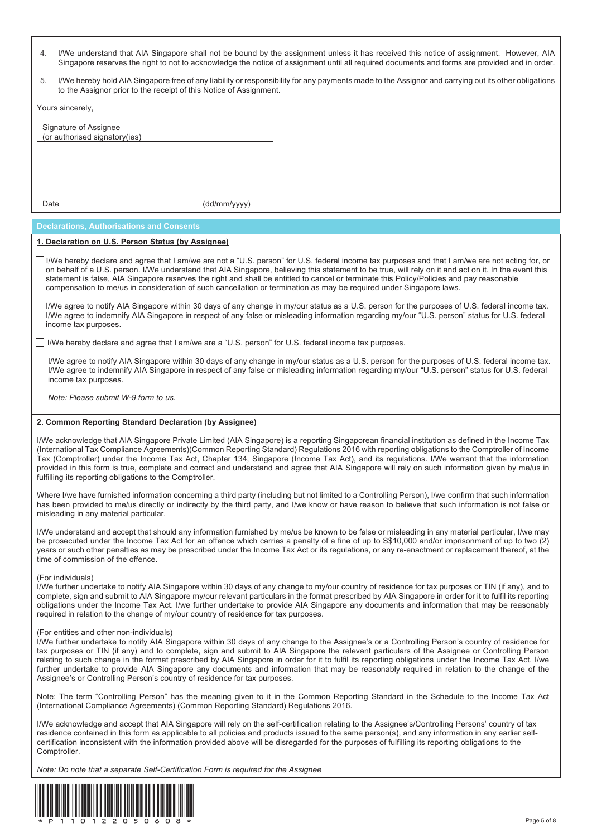- 4. I/We understand that AIA Singapore shall not be bound by the assignment unless it has received this notice of assignment. However, AIA Singapore reserves the right to not to acknowledge the notice of assignment until all required documents and forms are provided and in order. I/We understand that AIA Singapore shall not be bound by the assignment unless it has received this notice of assignment. However, AIA
- 5. I/We hereby hold AIA Singapore free of any liability or responsibility for any payments made to the Assignor and carrying out its other obligations to the Assignor prior to the receipt of this Notice of Assignment. I/We hereby hold AIA Singapore free of any liability or responsibi

Yours sincerely,

| Signature of Assignee<br>(or authorised signatory(ies) |              |
|--------------------------------------------------------|--------------|
|                                                        |              |
|                                                        |              |
|                                                        |              |
| Jate                                                   | (dd/mm/yyyy) |

#### **Declarations, Authorisations and Consents**

# **Declarations, Authorisations and Consents 1. Declaration on U.S. Person Status (by Assignee)**

on behalf of a U.S. person. I/We understand that AIA Singapore, believing this statement to be true, will rely on it and act on it. In the event this statement is false, AIA Singapore reserves the right and shall be entitled to cancel or terminate this Policy/Policies and pay reasonable compensation to me/us in consideration of such cancellation or termination as may be required under Singapore laws. I/We hereby declare and agree that I am/we are not a "U.S. person" for U.S. federal income tax purposes and that I am/we are not acting for, or

I/We agree to indemnify AIA Singapore in respect of any false or misleading information regarding my/our "U.S. person" status for U.S. federal income tax purposes. The intervention regarding my/our "U.S. person" status for any false or misleading my/our  $\mu$ I/We agree to notify AIA Singapore within 30 days of any change in my/our status as a U.S. person for the purposes of U.S. federal income tax.

I/We hereby declare and agree that I am/we are a "U.S. person" for U.S. federal income tax purposes.

I/We agree to indemnify AIA Singapore in respect of any false or misleading information regarding my/our "U.S. person" status for U.S. federal Income tax purposes. The intervention regarding my/our "U.S. person" status for any false or misleading my/our  $\mu$ I/We agree to notify AIA Singapore within 30 days of any change in my/our status as a U.S. person for the purposes of U.S. federal income tax.

*Note: Please submit W-9 form to us.*

#### **2. Common Reporting Standard Declaration (by Assignee)**

(International Tax Compliance Agreements) (Common Reporting Standard) Regulations 2016 with reporting obligations to the Comptroller of Income Tax (Comptroller) under the Income Tax Act, Chapter 134, Singapore (Income Tax Act), and its regulations. I/We warrant that the information provided in this form is true, complete and correct and understand and agree that AIA Singapore will rely on such information given by me/us in fulfilling its reporting obligations to the Comptroller.  $\overline{\phantom{x}}$ I/We acknowledge that AIA Singapore Private Limited (AIA Singapore) is a reporting Singaporean financial institution as defined in the Income Tax (International Tax Compliance Agreements)(Common Reporting Standard) Regulations 2016 with reporting obligations to the Comptroller of Income<br>Tax (Comptroller) under the Income Tax Act, Chapter 134, Singapore (Income Tax A

has been provided to me/us directly or indirectly by the third party, and I/we know or have reason to believe that such information is not false or<br>misleading in any material particular. misleading in any material particular. Where I/we have furnished information concerning a third party (including but not limited to a Controlling Person), I/we confirm that such information

be prosecuted under the Income Tax Act for an offence which carries a penalty of a fine of up to S\$10,000 and/or imprisonment of up to two (2) years or such other penalties as may be prescribed under the Income Tax Act or its regulations, or any re-enactment or replacement thereof, at the time of commission of the offence. I/We understand and accept that should any information furnished by me/us be known to be false or misleading in any material particular, I/we may be prosecuted under the Income Tax Act for an offence which carries a penalty of a fine of up to S\$10,000 and/or imprisonment of up to two (2)<br>years or such other penalties as may be prescribed under the Income Tax Act or

#### (For individuals)

I/We further undertake to notify AIA Singapore within 30 days of any change to my/our country of residence for tax purposes or TIN (if any), and to complete, sign and submit to AIA Singapore my/our relevant particulars in the format prescribed by AIA Singapore in order for it to fulfil its reporting obligations under the Income Tax Act. I/we further undertake to provide AIA Singapore any documents and information that may be reasonably required in relation to the change of my/our country of residence for tax purposes. complete, sign and submit to AIA Singapore my/our relevant particulars in the format prescribed by AIA Singapore in order for it to fulfil its reporting<br>obligations under the Income Tax Act. I/we further undertake to provi

#### (For entities and other non-individuals)

I/We further undertake to notify AIA Singapore within 30 days of any change to the Assignee's or a Controlling Person's country of residence for tax purposes or TIN (if any) and to complete, sign and submit to AIA Singapore the relevant particulars of the Assignee or Controlling Person relating to such change in the format prescribed by AIA Singapore in order for it to fulfil its reporting obligations under the Income Tax Act. I/we further undertake to provide AIA Singapore any documents and information that may be reasonably required in relation to the change of the Assignee's or Controlling Person's country of residence for tax purposes.

(International Compliance Agreements) (Common Reporting Standard) Regulations 2016. Note: The term "Controlling Person" has the meaning given to it in the Common Reporting Standard in the Schedule to the Income Tax Act

residence contained in this form as applicable to all policies and products issued to the same person(s), and any information in any earlier selfcertification inconsistent with the information provided above will be disregarded for the purposes of fulfilling its reporting obligations to the comptroller. The inconsistent will be disregarded above with the purposes of fulfilling its reporting its reporting obligations to the purposes of fulfilling its reporting obligations to the purpose of fulfilling its repor I/We acknowledge and accept that AIA Singapore will rely on the self-certification relating to the Assignee's/Controlling Persons' country of tax Comptroller

*Note: Do note that a separate Self-Certification Form is required for the Assignee*

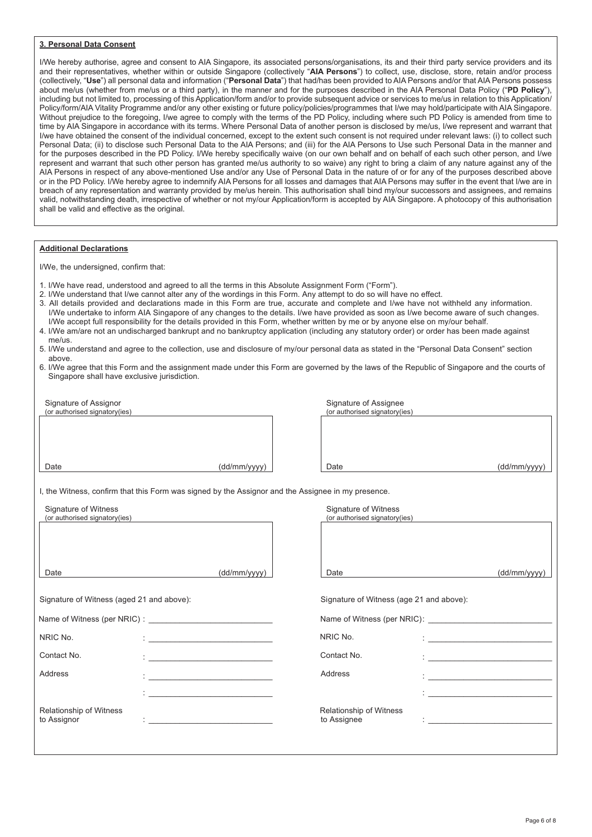#### **3. Personal Data Consent**

I/We hereby authorise, agree and consent to AIA Singapore, its associated persons/organisations, its and their third party service providers and its and their representatives, whether within or outside Singapore (collectively "**AIA Persons**") to collect, use, disclose, store, retain and/or process (collectively, "**Use**") all personal data and information ("**Personal Data**") that had/has been provided to AIA Persons and/or that AIA Persons possess about me/us (whether from me/us or a third party), in the manner and for the purposes described in the AIA Personal Data Policy ("**PD Policy**"), including but not limited to, processing of this Application/form and/or to provide subsequent advice or services to me/us in relation to this Application/ Policy/form/AIA Vitality Programme and/or any other existing or future policy/policies/programmes that I/we may hold/participate with AIA Singapore. Without prejudice to the foregoing, I/we agree to comply with the terms of the PD Policy, including where such PD Policy is amended from time to time by AIA Singapore in accordance with its terms. Where Personal Data of another person is disclosed by me/us, I/we represent and warrant that I/we have obtained the consent of the individual concerned, except to the extent such consent is not required under relevant laws: (i) to collect such Personal Data; (ii) to disclose such Personal Data to the AIA Persons; and (iii) for the AIA Persons to Use such Personal Data in the manner and for the purposes described in the PD Policy. I/We hereby specifically waive (on our own behalf and on behalf of each such other person, and I/we represent and warrant that such other person has granted me/us authority to so waive) any right to bring a claim of any nature against any of the AIA Persons in respect of any above-mentioned Use and/or any Use of Personal Data in the nature of or for any of the purposes described above or in the PD Policy. I/We hereby agree to indemnify AIA Persons for all losses and damages that AIA Persons may suffer in the event that I/we are in breach of any representation and warranty provided by me/us herein. This authorisation shall bind my/our successors and assignees, and remains valid, notwithstanding death, irrespective of whether or not my/our Application/form is accepted by AIA Singapore. A photocopy of this authorisation shall be valid and effective as the original.

#### **Additional Declarations**

I/We, the undersigned, confirm that:

- 1. I/We have read, understood and agreed to all the terms in this Absolute Assignment Form ("Form").
- 2. I/We understand that I/we cannot alter any of the wordings in this Form. Any attempt to do so will have no effect.
- 3. All details provided and declarations made in this Form are true, accurate and complete and I/we have not withheld any information. I/We undertake to inform AIA Singapore of any changes to the details. I/we have provided as soon as I/we become aware of such changes. I/We accept full responsibility for the details provided in this Form, whether written by me or by anyone else on my/our behalf.
- 4. I/We am/are not an undischarged bankrupt and no bankruptcy application (including any statutory order) or order has been made against me/us.
- 5. I/We understand and agree to the collection, use and disclosure of my/our personal data as stated in the "Personal Data Consent" section above.
- 6. I/We agree that this Form and the assignment made under this Form are governed by the laws of the Republic of Singapore and the courts of Singapore shall have exclusive jurisdiction.

| Signature of Assignor                                                                              |              | Signature of Assignee                    |                                                                                                                       |
|----------------------------------------------------------------------------------------------------|--------------|------------------------------------------|-----------------------------------------------------------------------------------------------------------------------|
| (or authorised signatory(ies)                                                                      |              | (or authorised signatory(ies)            |                                                                                                                       |
|                                                                                                    |              |                                          |                                                                                                                       |
|                                                                                                    |              |                                          |                                                                                                                       |
|                                                                                                    |              |                                          |                                                                                                                       |
|                                                                                                    |              |                                          |                                                                                                                       |
| Date                                                                                               |              | Date                                     |                                                                                                                       |
|                                                                                                    | (dd/mm/yyyy) |                                          | (dd/mm/yyyy)                                                                                                          |
|                                                                                                    |              |                                          |                                                                                                                       |
| I, the Witness, confirm that this Form was signed by the Assignor and the Assignee in my presence. |              |                                          |                                                                                                                       |
| Signature of Witness                                                                               |              | Signature of Witness                     |                                                                                                                       |
| (or authorised signatory(ies)                                                                      |              | (or authorised signatory(ies)            |                                                                                                                       |
|                                                                                                    |              |                                          |                                                                                                                       |
|                                                                                                    |              |                                          |                                                                                                                       |
|                                                                                                    |              |                                          |                                                                                                                       |
|                                                                                                    |              |                                          |                                                                                                                       |
|                                                                                                    |              |                                          |                                                                                                                       |
| Date                                                                                               | (dd/mm/yyyy) | Date                                     | (dd/mm/yyyy)                                                                                                          |
|                                                                                                    |              |                                          |                                                                                                                       |
|                                                                                                    |              |                                          |                                                                                                                       |
| Signature of Witness (aged 21 and above):                                                          |              | Signature of Witness (age 21 and above): |                                                                                                                       |
|                                                                                                    |              |                                          |                                                                                                                       |
|                                                                                                    |              |                                          |                                                                                                                       |
| NRIC No.                                                                                           |              | NRIC No.                                 |                                                                                                                       |
|                                                                                                    |              |                                          |                                                                                                                       |
| Contact No.                                                                                        |              | Contact No.                              |                                                                                                                       |
|                                                                                                    |              |                                          |                                                                                                                       |
| Address                                                                                            |              | Address                                  | <u> 1989 - Johann Barbara, martin amerikan basal dan berasal dalam basal dalam basal dalam basal dalam basal dala</u> |
|                                                                                                    |              |                                          |                                                                                                                       |
|                                                                                                    |              |                                          | <u> 1980 - Jan Barnett, fransk politik (f. 1980)</u>                                                                  |
|                                                                                                    |              |                                          |                                                                                                                       |
| Relationship of Witness                                                                            |              | <b>Relationship of Witness</b>           |                                                                                                                       |
| to Assignor                                                                                        |              | to Assignee                              |                                                                                                                       |
|                                                                                                    |              |                                          |                                                                                                                       |
|                                                                                                    |              |                                          |                                                                                                                       |
|                                                                                                    |              |                                          |                                                                                                                       |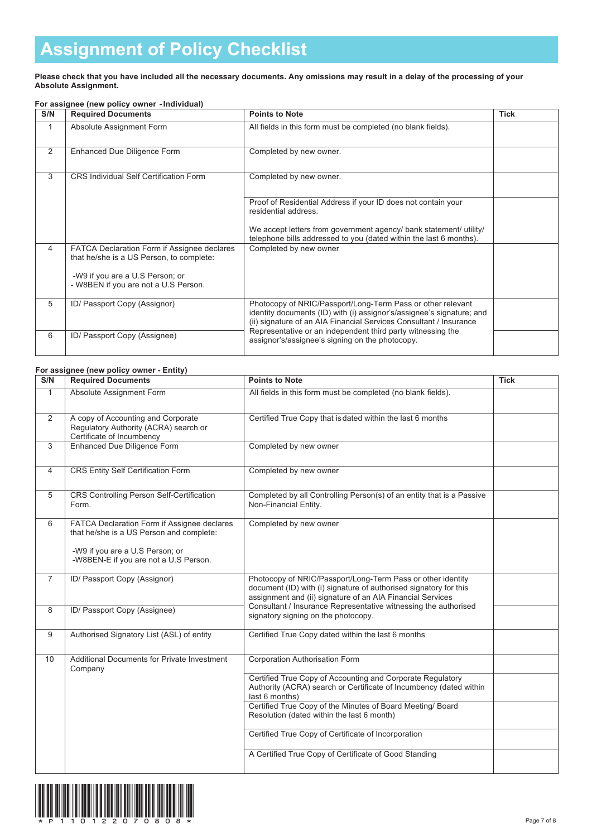# **Assignment of Policy Checklist Assignment of Policy Checklist**

#### **Please check that you have included all the necessary documents. Any omissions may result in a delay of the processing of your Absolute Assignment.** Please check that you

|                | For assignee (new policy owner - Individual)                                            |                                                                                                                                                                                                            |             |  |  |
|----------------|-----------------------------------------------------------------------------------------|------------------------------------------------------------------------------------------------------------------------------------------------------------------------------------------------------------|-------------|--|--|
| S/N            | <b>Required Documents</b>                                                               | <b>Points to Note</b>                                                                                                                                                                                      | <b>Tick</b> |  |  |
| 1              | Absolute Assignment Form                                                                | All fields in this form must be completed (no blank fields).                                                                                                                                               |             |  |  |
| $\overline{2}$ | Enhanced Due Diligence Form                                                             | Completed by new owner.                                                                                                                                                                                    |             |  |  |
| 3              | <b>CRS Individual Self Certification Form</b>                                           | Completed by new owner.                                                                                                                                                                                    |             |  |  |
|                |                                                                                         | Proof of Residential Address if your ID does not contain your<br>residential address.                                                                                                                      |             |  |  |
|                |                                                                                         | We accept letters from government agency/ bank statement/ utility/<br>telephone bills addressed to you (dated within the last 6 months).                                                                   |             |  |  |
| 4              | FATCA Declaration Form if Assignee declares<br>that he/she is a US Person, to complete: | Completed by new owner                                                                                                                                                                                     |             |  |  |
|                | -W9 if you are a U.S Person; or<br>- W8BEN if you are not a U.S Person.                 |                                                                                                                                                                                                            |             |  |  |
| 5              | ID/ Passport Copy (Assignor)                                                            | Photocopy of NRIC/Passport/Long-Term Pass or other relevant<br>identity documents (ID) with (i) assignor's/assignee's signature; and<br>(ii) signature of an AIA Financial Services Consultant / Insurance |             |  |  |
| 6              | ID/ Passport Copy (Assignee)                                                            | Representative or an independent third party witnessing the<br>assignor's/assignee's signing on the photocopy.                                                                                             |             |  |  |

# **For assignee (new policy owner - Entity)**

| S/N          | <b>Required Documents</b>                                                                                                                                           | <b>Points to Note</b>                                                                                                                                                                          | <b>Tick</b> |
|--------------|---------------------------------------------------------------------------------------------------------------------------------------------------------------------|------------------------------------------------------------------------------------------------------------------------------------------------------------------------------------------------|-------------|
| $\mathbf{1}$ | Absolute Assignment Form                                                                                                                                            | All fields in this form must be completed (no blank fields).                                                                                                                                   |             |
| 2            | A copy of Accounting and Corporate<br>Regulatory Authority (ACRA) search or<br>Certificate of Incumbency                                                            | Certified True Copy that is dated within the last 6 months                                                                                                                                     |             |
| 3            | <b>Enhanced Due Diligence Form</b>                                                                                                                                  | Completed by new owner                                                                                                                                                                         |             |
| 4            | CRS Entity Self Certification Form                                                                                                                                  | Completed by new owner                                                                                                                                                                         |             |
| 5            | CRS Controlling Person Self-Certification<br>Form.                                                                                                                  | Completed by all Controlling Person(s) of an entity that is a Passive<br>Non-Financial Entity.                                                                                                 |             |
| 6            | FATCA Declaration Form if Assignee declares<br>that he/she is a US Person and complete:<br>-W9 if you are a U.S Person; or<br>-W8BEN-E if you are not a U.S Person. | Completed by new owner                                                                                                                                                                         |             |
| 7            | ID/ Passport Copy (Assignor)                                                                                                                                        | Photocopy of NRIC/Passport/Long-Term Pass or other identity<br>document (ID) with (i) signature of authorised signatory for this<br>assignment and (ii) signature of an AIA Financial Services |             |
| 8            | ID/ Passport Copy (Assignee)                                                                                                                                        | Consultant / Insurance Representative witnessing the authorised<br>signatory signing on the photocopy.                                                                                         |             |
| 9            | Authorised Signatory List (ASL) of entity                                                                                                                           | Certified True Copy dated within the last 6 months                                                                                                                                             |             |
| 10           | Additional Documents for Private Investment<br>Company                                                                                                              | Corporation Authorisation Form                                                                                                                                                                 |             |
|              |                                                                                                                                                                     | Certified True Copy of Accounting and Corporate Regulatory<br>Authority (ACRA) search or Certificate of Incumbency (dated within<br>last 6 months)                                             |             |
|              |                                                                                                                                                                     | Certified True Copy of the Minutes of Board Meeting/ Board<br>Resolution (dated within the last 6 month)                                                                                       |             |
|              |                                                                                                                                                                     | Certified True Copy of Certificate of Incorporation                                                                                                                                            |             |
|              |                                                                                                                                                                     | A Certified True Copy of Certificate of Good Standing                                                                                                                                          |             |